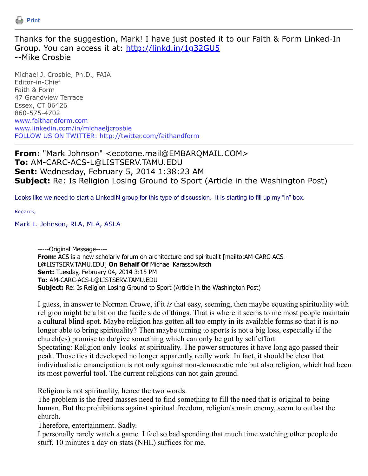

Thanks for the suggestion, Mark! I have just posted it to our Faith & Form Linked-In Group. You can access it at: <http://linkd.in/1g32GU5> --Mike Crosbie

Michael J. Crosbie, Ph.D., FAIA Editor-in-Chief Faith & Form 47 Grandview Terrace Essex, CT 06426 860-575-4702 www.faithandform.com www.linkedin.com/in/michaeljcrosbie FOLLOW US ON TWITTER: http://twitter.com/faithandform

**From:** "Mark Johnson" <ecotone.mail@EMBARQMAIL.COM> **To:** AM-CARC-ACS-L@LISTSERV.TAMU.EDU **Sent:** Wednesday, February 5, 2014 1:38:23 AM **Subject:** Re: Is Religion Losing Ground to Sport (Article in the Washington Post)

Looks like we need to start a LinkedIN group for this type of discussion. It is starting to fill up my "in" box.

Regards,

Mark L. Johnson, RLA, MLA, ASLA

-----Original Message----- **From:** ACS is a new scholarly forum on architecture and spiritualit [mailto:AM-CARC-ACS-L@LISTSERV.TAMU.EDU] **On Behalf Of** Michael Karassowitsch **Sent:** Tuesday, February 04, 2014 3:15 PM **To:** AM-CARC-ACS-L@LISTSERV.TAMU.EDU **Subject:** Re: Is Religion Losing Ground to Sport (Article in the Washington Post)

I guess, in answer to Norman Crowe, if it *is* that easy, seeming, then maybe equating spirituality with religion might be a bit on the facile side of things. That is where it seems to me most people maintain a cultural blind-spot. Maybe religion has gotten all too empty in its available forms so that it is no longer able to bring spirituality? Then maybe turning to sports is not a big loss, especially if the church(es) promise to do/give something which can only be got by self effort. Spectating: Religion only 'looks' at spirituality. The power structures it have long ago passed their peak. Those ties it developed no longer apparently really work. In fact, it should be clear that individualistic emancipation is not only against non-democratic rule but also religion, which had been its most powerful tool. The current religions can not gain ground.

Religion is not spirituality, hence the two words.

The problem is the freed masses need to find something to fill the need that is original to being human. But the prohibitions against spiritual freedom, religion's main enemy, seem to outlast the church.

Therefore, entertainment. Sadly.

I personally rarely watch a game. I feel so bad spending that much time watching other people do stuff. 10 minutes a day on stats (NHL) suffices for me.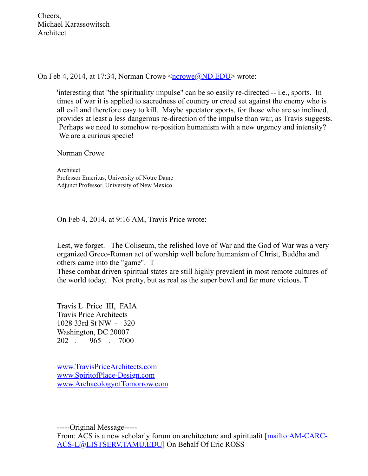Cheers, Michael Karassowitsch Architect

On Feb 4, 2014, at 17:34, Norman Crowe  $\langle \text{ncrowe}(\mathbf{a})| \text{ND}.\text{EDU} \rangle$  wrote:

'interesting that "the spirituality impulse" can be so easily re-directed -- i.e., sports. In times of war it is applied to sacredness of country or creed set against the enemy who is all evil and therefore easy to kill. Maybe spectator sports, for those who are so inclined, provides at least a less dangerous re-direction of the impulse than war, as Travis suggests. Perhaps we need to somehow re-position humanism with a new urgency and intensity? We are a curious specie!

Norman Crowe

Architect Professor Emeritus, University of Notre Dame Adjunct Professor, University of New Mexico

On Feb 4, 2014, at 9:16 AM, Travis Price wrote:

Lest, we forget. The Coliseum, the relished love of War and the God of War was a very organized Greco-Roman act of worship well before humanism of Christ, Buddha and others came into the "game". T

These combat driven spiritual states are still highly prevalent in most remote cultures of the world today. Not pretty, but as real as the super bowl and far more vicious. T

Travis L Price III, FAIA Travis Price Architects 1028 33rd St NW - 320 Washington, DC 20007 202 . 965 . 7000

[www.TravisPriceArchitects.com](http://www.travispricearchitects.com/) [www.SpiritofPlace-Design.com](http://www.spiritofplace-design.com/) [www.ArchaeologyofTomorrow.com](http://www.archaeologyoftomorrow.com/)

-----Original Message-----

[From: ACS is a new scholarly forum on architecture and spiritualit \[mailto:AM-CARC-](mailto:AM-CARC-ACS-L@LISTSERV.TAMU.EDU)ACS-L@LISTSERV.TAMU.EDU] On Behalf Of Eric ROSS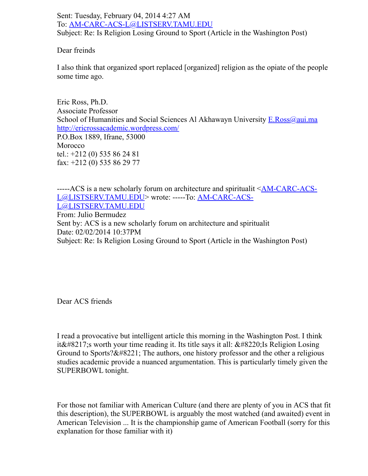Sent: Tuesday, February 04, 2014 4:27 AM To: [AM-CARC-ACS-L@LISTSERV.TAMU.EDU](mailto:AM-CARC-ACS-L@LISTSERV.TAMU.EDU) Subject: Re: Is Religion Losing Ground to Sport (Article in the Washington Post)

Dear freinds

I also think that organized sport replaced [organized] religion as the opiate of the people some time ago.

Eric Ross, Ph.D. Associate Professor School of Humanities and Social Sciences Al Akhawayn University [E.Ross@aui.ma](mailto:E.Ross@aui.ma) <http://ericrossacademic.wordpress.com/> P.O.Box 1889, Ifrane, 53000 Morocco tel.: +212 (0) 535 86 24 81 fax: +212 (0) 535 86 29 77

[-----ACS is a new scholarly forum on architecture and spiritualit <AM-CARC-ACS-](mailto:AM-CARC-ACS-L@LISTSERV.TAMU.EDU)[L@LISTSERV.TAMU.EDU> wrote: -----To: AM-CARC-ACS-](mailto:AM-CARC-ACS-L@LISTSERV.TAMU.EDU)L@LISTSERV.TAMU.EDU From: Julio Bermudez Sent by: ACS is a new scholarly forum on architecture and spiritualit Date: 02/02/2014 10:37PM Subject: Re: Is Religion Losing Ground to Sport (Article in the Washington Post)

Dear ACS friends

I read a provocative but intelligent article this morning in the Washington Post. I think it  $&\#8217$ ; sworth your time reading it. Its title says it all:  $&\#8220$ ; Is Religion Losing Ground to Sports? $\&\#8221$ ; The authors, one history professor and the other a religious studies academic provide a nuanced argumentation. This is particularly timely given the SUPERBOWL tonight.

For those not familiar with American Culture (and there are plenty of you in ACS that fit this description), the SUPERBOWL is arguably the most watched (and awaited) event in American Television ... It is the championship game of American Football (sorry for this explanation for those familiar with it)